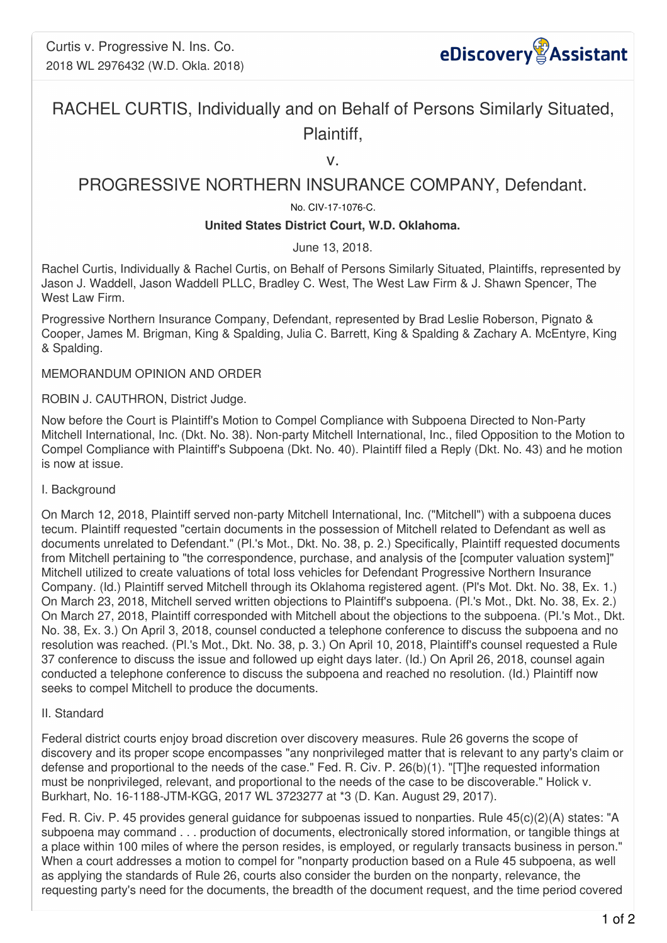

# RACHEL CURTIS, Individually and on Behalf of Persons Similarly Situated, Plaintiff,

v.

## PROGRESSIVE NORTHERN INSURANCE COMPANY, Defendant.

### No. CIV-17-1076-C.

#### **United States District Court, W.D. Oklahoma.**

June 13, 2018.

Rachel Curtis, Individually & Rachel Curtis, on Behalf of Persons Similarly Situated, Plaintiffs, represented by Jason J. Waddell, Jason Waddell PLLC, Bradley C. West, The West Law Firm & J. Shawn Spencer, The West Law Firm.

Progressive Northern Insurance Company, Defendant, represented by Brad Leslie Roberson, Pignato & Cooper, James M. Brigman, King & Spalding, Julia C. Barrett, King & Spalding & Zachary A. McEntyre, King & Spalding.

MEMORANDUM OPINION AND ORDER

ROBIN J. CAUTHRON, District Judge.

Now before the Court is Plaintiff's Motion to Compel Compliance with Subpoena Directed to Non-Party Mitchell International, Inc. (Dkt. No. 38). Non-party Mitchell International, Inc., filed Opposition to the Motion to Compel Compliance with Plaintiff's Subpoena (Dkt. No. 40). Plaintiff filed a Reply (Dkt. No. 43) and he motion is now at issue.

#### I. Background

On March 12, 2018, Plaintiff served non-party Mitchell International, Inc. ("Mitchell") with a subpoena duces tecum. Plaintiff requested "certain documents in the possession of Mitchell related to Defendant as well as documents unrelated to Defendant." (Pl.'s Mot., Dkt. No. 38, p. 2.) Specifically, Plaintiff requested documents from Mitchell pertaining to "the correspondence, purchase, and analysis of the [computer valuation system]" Mitchell utilized to create valuations of total loss vehicles for Defendant Progressive Northern Insurance Company. (Id.) Plaintiff served Mitchell through its Oklahoma registered agent. (Pl's Mot. Dkt. No. 38, Ex. 1.) On March 23, 2018, Mitchell served written objections to Plaintiff's subpoena. (Pl.'s Mot., Dkt. No. 38, Ex. 2.) On March 27, 2018, Plaintiff corresponded with Mitchell about the objections to the subpoena. (Pl.'s Mot., Dkt. No. 38, Ex. 3.) On April 3, 2018, counsel conducted a telephone conference to discuss the subpoena and no resolution was reached. (Pl.'s Mot., Dkt. No. 38, p. 3.) On April 10, 2018, Plaintiff's counsel requested a Rule 37 conference to discuss the issue and followed up eight days later. (Id.) On April 26, 2018, counsel again conducted a telephone conference to discuss the subpoena and reached no resolution. (Id.) Plaintiff now seeks to compel Mitchell to produce the documents.

#### II. Standard

Federal district courts enjoy broad discretion over discovery measures. Rule 26 governs the scope of discovery and its proper scope encompasses "any nonprivileged matter that is relevant to any party's claim or defense and proportional to the needs of the case." Fed. R. Civ. P. 26(b)(1). "[T]he requested information must be nonprivileged, relevant, and proportional to the needs of the case to be discoverable." Holick v. Burkhart, No. 16-1188-JTM-KGG, 2017 WL 3723277 at \*3 (D. Kan. August 29, 2017).

Fed. R. Civ. P. 45 provides general guidance for subpoenas issued to nonparties. Rule 45(c)(2)(A) states: "A subpoena may command . . . production of documents, electronically stored information, or tangible things at a place within 100 miles of where the person resides, is employed, or regularly transacts business in person." When a court addresses a motion to compel for "nonparty production based on a Rule 45 subpoena, as well as applying the standards of Rule 26, courts also consider the burden on the nonparty, relevance, the requesting party's need for the documents, the breadth of the document request, and the time period covered